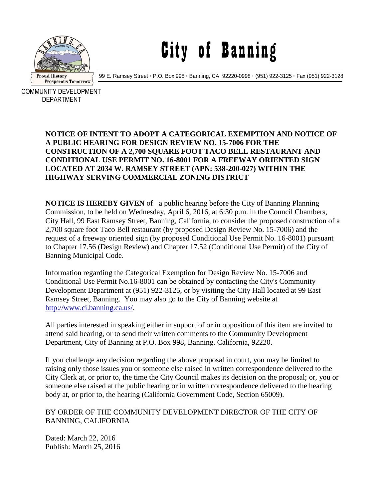

## City of Banning

99 E. Ramsey Street **·** P.O. Box 998 **·** Banning, CA 92220-0998 **·** (951) 922-3125 **·** Fax (951) 922-3128

COMMUNITY DEVELOPMENT DEPARTMENT

## **NOTICE OF INTENT TO ADOPT A CATEGORICAL EXEMPTION AND NOTICE OF A PUBLIC HEARING FOR DESIGN REVIEW NO. 15-7006 FOR THE CONSTRUCTION OF A 2,700 SQUARE FOOT TACO BELL RESTAURANT AND CONDITIONAL USE PERMIT NO. 16-8001 FOR A FREEWAY ORIENTED SIGN LOCATED AT 2034 W. RAMSEY STREET (APN: 538-200-027) WITHIN THE HIGHWAY SERVING COMMERCIAL ZONING DISTRICT**

**NOTICE IS HEREBY GIVEN** of a public hearing before the City of Banning Planning Commission, to be held on Wednesday, April 6, 2016, at 6:30 p.m. in the Council Chambers, City Hall, 99 East Ramsey Street, Banning, California, to consider the proposed construction of a 2,700 square foot Taco Bell restaurant (by proposed Design Review No. 15-7006) and the request of a freeway oriented sign (by proposed Conditional Use Permit No. 16-8001) pursuant to Chapter 17.56 (Design Review) and Chapter 17.52 (Conditional Use Permit) of the City of Banning Municipal Code.

Information regarding the Categorical Exemption for Design Review No. 15-7006 and Conditional Use Permit No.16-8001 can be obtained by contacting the City's Community Development Department at (951) 922-3125, or by visiting the City Hall located at 99 East Ramsey Street, Banning. You may also go to the City of Banning website at [http://www.ci.banning.ca.us/.](http://www.ci.banning.ca.us/)

All parties interested in speaking either in support of or in opposition of this item are invited to attend said hearing, or to send their written comments to the Community Development Department, City of Banning at P.O. Box 998, Banning, California, 92220.

If you challenge any decision regarding the above proposal in court, you may be limited to raising only those issues you or someone else raised in written correspondence delivered to the City Clerk at, or prior to, the time the City Council makes its decision on the proposal; or, you or someone else raised at the public hearing or in written correspondence delivered to the hearing body at, or prior to, the hearing (California Government Code, Section 65009).

## BY ORDER OF THE COMMUNITY DEVELOPMENT DIRECTOR OF THE CITY OF BANNING, CALIFORNIA

Dated: March 22, 2016 Publish: March 25, 2016